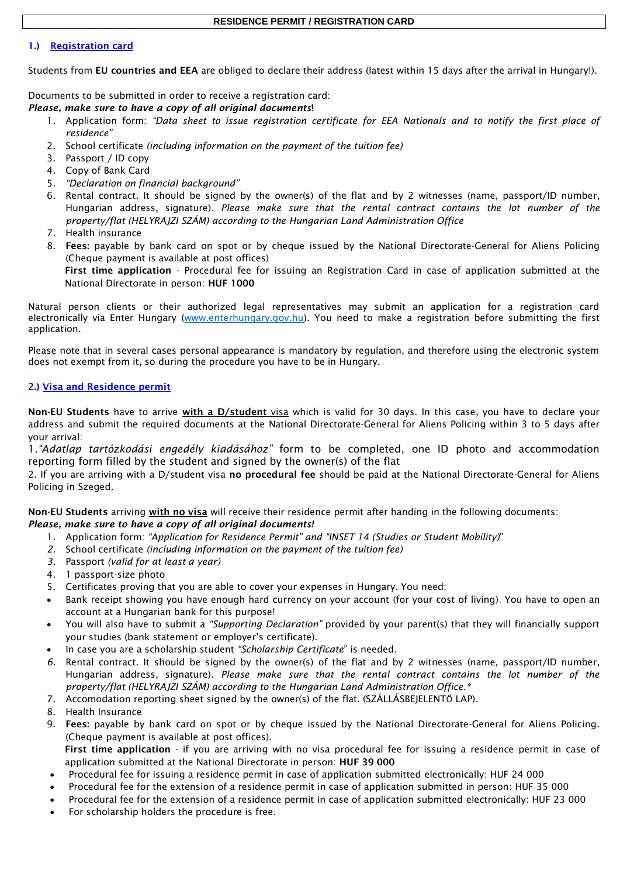## **RESIDENCE PERMIT / REGISTRATION CARD**

## 1.) Registration card

Students from EU countries and EEA are obliged to declare their address (latest within 15 days after the arrival in Hungary!).

Documents to be submitted in order to receive a registration card:

*Please, make sure to have a copy of all original documents*!

- 1. Application form: *"Data sheet to issue registration certificate for EEA Nationals and to notify the first place of residence"*
- 2. School certificate *(including information on the payment of the tuition fee)*
- 3. Passport / ID copy
- 4. Copy of Bank Card
- 5. *"Declaration on financial background"*
- 6. Rental contract. It should be signed by the owner(s) of the flat and by 2 witnesses (name, passport/ID number, Hungarian address, signature). *Please make sure that the rental contract contains the lot number of the property/flat (HELYRAJZI SZÁM) according to the Hungarian Land Administration Office*
- 7. Health insurance
- 8. Fees: payable by bank card on spot or by cheque issued by the National Directorate-General for Aliens Policing (Cheque payment is available at post offices)

First time application - Procedural fee for issuing an Registration Card in case of application submitted at the National Directorate in person: HUF 1000

Natural person clients or their authorized legal representatives may submit an application for a registration card electronically via Enter Hungary [\(www.enterhungary.gov.hu\)](http://www.enterhungary.gov.hu/). You need to [make a registration](https://enterhungary.gov.hu/eh/register) before submitting the first application.

Please note that in several cases personal appearance is mandatory by regulation, and therefore using the electronic system does not exempt from it, so during the procedure you have to be in Hungary.

## 2.) Visa and Residence permit

Non-EU Students have to arrive with a D/student visa which is valid for 30 days. In this case, you have to declare your address and submit the required documents at the National Directorate-General for Aliens Policing within 3 to 5 days after your arrival:

1.*"Adatlap tartózkodási engedély kiadásához"* form to be completed, one ID photo and accommodation reporting form filled by the student and signed by the owner(s) of the flat

2. If you are arriving with a D/student visa no procedural fee should be paid at the National Directorate-General for Aliens Policing in Szeged.

Non-EU Students arriving with no visa will receive their residence permit after handing in the following documents: *Please, make sure to have a copy of all original documents!*

- 1. Application form: *"Application for Residence Permit" and "INSET 14 (Studies or Student Mobility)*"
- *2.* School certificate *(including information on the payment of the tuition fee)*
- *3.* Passport *(valid for at least a year)*
- 4. 1 passport-size photo
- 5. Certificates proving that you are able to cover your expenses in Hungary. You need:
- Bank receipt showing you have enough hard currency on your account (for your cost of living). You have to open an account at a Hungarian bank for this purpose!
- You will also have to submit a *"Supporting Declaration"* provided by your parent(s) that they will financially support your studies (bank statement or employer's certificate).
- In case you are a scholarship student *"Scholarship Certificate*" is needed.
- *6.* Rental contract. It should be signed by the owner(s) of the flat and by 2 witnesses (name, passport/ID number, Hungarian address, signature). *Please make sure that the rental contract contains the lot number of the property/flat (HELYRAJZI SZÁM) according to the Hungarian Land Administration Office.\**
- 7. Accomodation reporting sheet signed by the owner(s) of the flat. (SZÁLLÁSBEJELENTŐ LAP).
- 8. Health Insurance
- 9. Fees: payable by bank card on spot or by cheque issued by the National Directorate-General for Aliens Policing. (Cheque payment is available at post offices).

First time application - if you are arriving with no visa procedural fee for issuing a residence permit in case of application submitted at the National Directorate in person: HUF 39 000

- Procedural fee for issuing a residence permit in case of application submitted electronically: HUF 24 000
- Procedural fee for the extension of a residence permit in case of application submitted in person: HUF 35 000
- Procedural fee for the extension of a residence permit in case of application submitted electronically: HUF 23 000
- For scholarship holders the procedure is free.